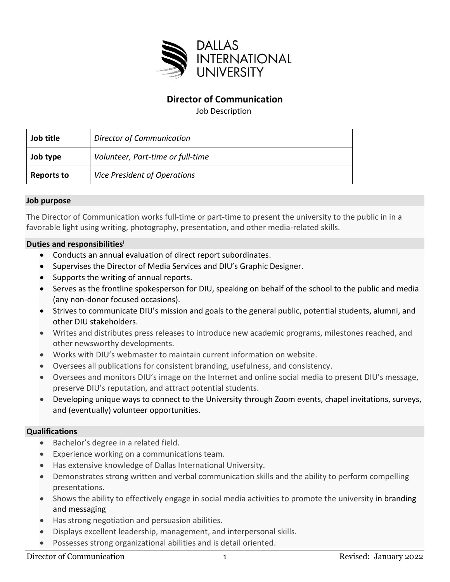

## **Director of Communication**

Job Description

| Job title         | <b>Director of Communication</b>  |
|-------------------|-----------------------------------|
| Job type          | Volunteer, Part-time or full-time |
| <b>Reports to</b> | Vice President of Operations      |

## **Job purpose**

The Director of Communication works full-time or part-time to present the university to the public in in a favorable light using writing, photography, presentation, and other media-related skills.

## **Duties and responsibilities<sup>i</sup>**

- Conducts an annual evaluation of direct report subordinates.
- Supervises the Director of Media Services and DIU's Graphic Designer.
- Supports the writing of annual reports.
- Serves as the frontline spokesperson for DIU, speaking on behalf of the school to the public and media (any non-donor focused occasions).
- Strives to communicate DIU's mission and goals to the general public, potential students, alumni, and other DIU stakeholders.
- Writes and distributes press releases to introduce new academic programs, milestones reached, and other newsworthy developments.
- Works with DIU's webmaster to maintain current information on website.
- Oversees all publications for consistent branding, usefulness, and consistency.
- Oversees and monitors DIU's image on the Internet and online social media to present DIU's message, preserve DIU's reputation, and attract potential students.
- Developing unique ways to connect to the University through Zoom events, chapel invitations, surveys, and (eventually) volunteer opportunities.

## **Qualifications**

- Bachelor's degree in a related field.
- Experience working on a communications team.
- Has extensive knowledge of Dallas International University.
- Demonstrates strong written and verbal communication skills and the ability to perform compelling presentations.
- Shows the ability to effectively engage in social media activities to promote the university in branding and messaging
- Has strong negotiation and persuasion abilities.
- Displays excellent leadership, management, and interpersonal skills.
- Possesses strong organizational abilities and is detail oriented.